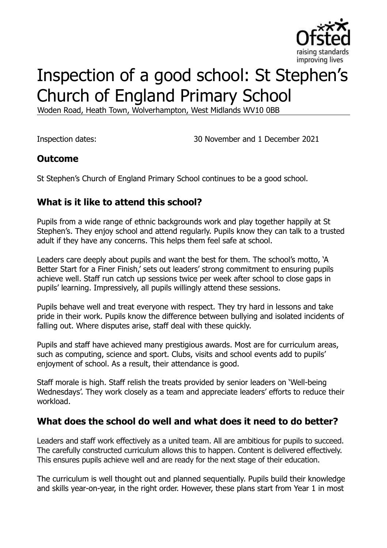

# Inspection of a good school: St Stephen's Church of England Primary School

Woden Road, Heath Town, Wolverhampton, West Midlands WV10 0BB

Inspection dates: 30 November and 1 December 2021

#### **Outcome**

St Stephen's Church of England Primary School continues to be a good school.

# **What is it like to attend this school?**

Pupils from a wide range of ethnic backgrounds work and play together happily at St Stephen's. They enjoy school and attend regularly. Pupils know they can talk to a trusted adult if they have any concerns. This helps them feel safe at school.

Leaders care deeply about pupils and want the best for them. The school's motto, 'A Better Start for a Finer Finish,' sets out leaders' strong commitment to ensuring pupils achieve well. Staff run catch up sessions twice per week after school to close gaps in pupils' learning. Impressively, all pupils willingly attend these sessions.

Pupils behave well and treat everyone with respect. They try hard in lessons and take pride in their work. Pupils know the difference between bullying and isolated incidents of falling out. Where disputes arise, staff deal with these quickly.

Pupils and staff have achieved many prestigious awards. Most are for curriculum areas, such as computing, science and sport. Clubs, visits and school events add to pupils' enjoyment of school. As a result, their attendance is good.

Staff morale is high. Staff relish the treats provided by senior leaders on 'Well-being Wednesdays'. They work closely as a team and appreciate leaders' efforts to reduce their workload.

#### **What does the school do well and what does it need to do better?**

Leaders and staff work effectively as a united team. All are ambitious for pupils to succeed. The carefully constructed curriculum allows this to happen. Content is delivered effectively. This ensures pupils achieve well and are ready for the next stage of their education.

The curriculum is well thought out and planned sequentially. Pupils build their knowledge and skills year-on-year, in the right order. However, these plans start from Year 1 in most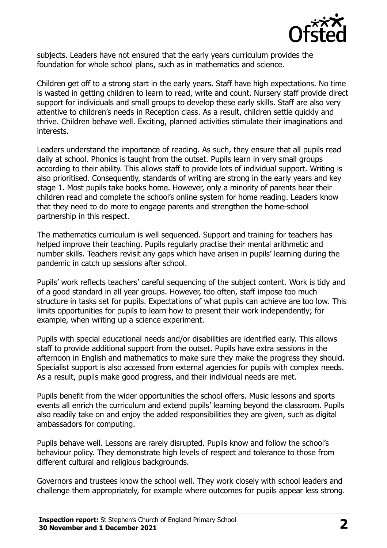

subjects. Leaders have not ensured that the early years curriculum provides the foundation for whole school plans, such as in mathematics and science.

Children get off to a strong start in the early years. Staff have high expectations. No time is wasted in getting children to learn to read, write and count. Nursery staff provide direct support for individuals and small groups to develop these early skills. Staff are also very attentive to children's needs in Reception class. As a result, children settle quickly and thrive. Children behave well. Exciting, planned activities stimulate their imaginations and interests.

Leaders understand the importance of reading. As such, they ensure that all pupils read daily at school. Phonics is taught from the outset. Pupils learn in very small groups according to their ability. This allows staff to provide lots of individual support. Writing is also prioritised. Consequently, standards of writing are strong in the early years and key stage 1. Most pupils take books home. However, only a minority of parents hear their children read and complete the school's online system for home reading. Leaders know that they need to do more to engage parents and strengthen the home-school partnership in this respect.

The mathematics curriculum is well sequenced. Support and training for teachers has helped improve their teaching. Pupils regularly practise their mental arithmetic and number skills. Teachers revisit any gaps which have arisen in pupils' learning during the pandemic in catch up sessions after school.

Pupils' work reflects teachers' careful sequencing of the subject content. Work is tidy and of a good standard in all year groups. However, too often, staff impose too much structure in tasks set for pupils. Expectations of what pupils can achieve are too low. This limits opportunities for pupils to learn how to present their work independently; for example, when writing up a science experiment.

Pupils with special educational needs and/or disabilities are identified early. This allows staff to provide additional support from the outset. Pupils have extra sessions in the afternoon in English and mathematics to make sure they make the progress they should. Specialist support is also accessed from external agencies for pupils with complex needs. As a result, pupils make good progress, and their individual needs are met.

Pupils benefit from the wider opportunities the school offers. Music lessons and sports events all enrich the curriculum and extend pupils' learning beyond the classroom. Pupils also readily take on and enjoy the added responsibilities they are given, such as digital ambassadors for computing.

Pupils behave well. Lessons are rarely disrupted. Pupils know and follow the school's behaviour policy. They demonstrate high levels of respect and tolerance to those from different cultural and religious backgrounds.

Governors and trustees know the school well. They work closely with school leaders and challenge them appropriately, for example where outcomes for pupils appear less strong.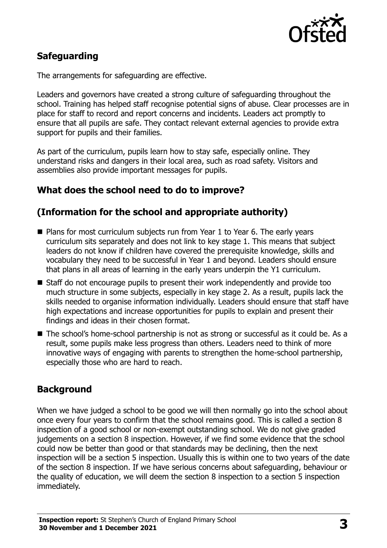

# **Safeguarding**

The arrangements for safeguarding are effective.

Leaders and governors have created a strong culture of safeguarding throughout the school. Training has helped staff recognise potential signs of abuse. Clear processes are in place for staff to record and report concerns and incidents. Leaders act promptly to ensure that all pupils are safe. They contact relevant external agencies to provide extra support for pupils and their families.

As part of the curriculum, pupils learn how to stay safe, especially online. They understand risks and dangers in their local area, such as road safety. Visitors and assemblies also provide important messages for pupils.

### **What does the school need to do to improve?**

# **(Information for the school and appropriate authority)**

- Plans for most curriculum subjects run from Year 1 to Year 6. The early years curriculum sits separately and does not link to key stage 1. This means that subject leaders do not know if children have covered the prerequisite knowledge, skills and vocabulary they need to be successful in Year 1 and beyond. Leaders should ensure that plans in all areas of learning in the early years underpin the Y1 curriculum.
- Staff do not encourage pupils to present their work independently and provide too much structure in some subjects, especially in key stage 2. As a result, pupils lack the skills needed to organise information individually. Leaders should ensure that staff have high expectations and increase opportunities for pupils to explain and present their findings and ideas in their chosen format.
- The school's home-school partnership is not as strong or successful as it could be. As a result, some pupils make less progress than others. Leaders need to think of more innovative ways of engaging with parents to strengthen the home-school partnership, especially those who are hard to reach.

#### **Background**

When we have judged a school to be good we will then normally go into the school about once every four years to confirm that the school remains good. This is called a section 8 inspection of a good school or non-exempt outstanding school. We do not give graded judgements on a section 8 inspection. However, if we find some evidence that the school could now be better than good or that standards may be declining, then the next inspection will be a section 5 inspection. Usually this is within one to two years of the date of the section 8 inspection. If we have serious concerns about safeguarding, behaviour or the quality of education, we will deem the section 8 inspection to a section 5 inspection immediately.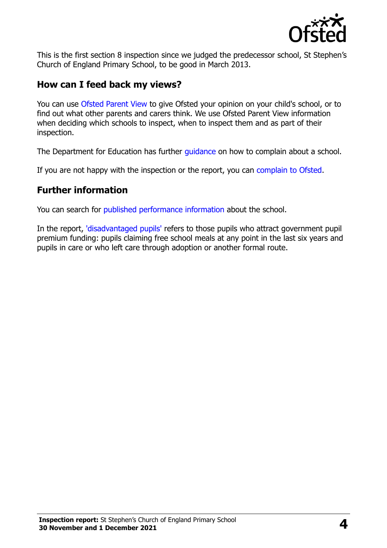

This is the first section 8 inspection since we judged the predecessor school, St Stephen's Church of England Primary School, to be good in March 2013.

#### **How can I feed back my views?**

You can use [Ofsted Parent View](https://parentview.ofsted.gov.uk/) to give Ofsted your opinion on your child's school, or to find out what other parents and carers think. We use Ofsted Parent View information when deciding which schools to inspect, when to inspect them and as part of their inspection.

The Department for Education has further quidance on how to complain about a school.

If you are not happy with the inspection or the report, you can [complain to Ofsted.](https://www.gov.uk/complain-ofsted-report)

#### **Further information**

You can search for [published performance information](http://www.compare-school-performance.service.gov.uk/) about the school.

In the report, ['disadvantaged pupils'](http://www.gov.uk/guidance/pupil-premium-information-for-schools-and-alternative-provision-settings) refers to those pupils who attract government pupil premium funding: pupils claiming free school meals at any point in the last six years and pupils in care or who left care through adoption or another formal route.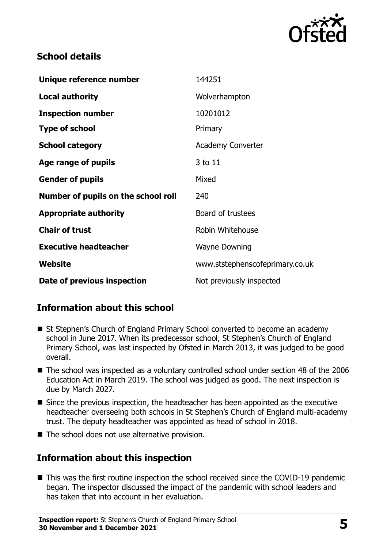

### **School details**

| Unique reference number             | 144251                          |
|-------------------------------------|---------------------------------|
| Local authority                     | Wolverhampton                   |
| <b>Inspection number</b>            | 10201012                        |
| <b>Type of school</b>               | Primary                         |
| <b>School category</b>              | <b>Academy Converter</b>        |
| Age range of pupils                 | 3 to 11                         |
| <b>Gender of pupils</b>             | Mixed                           |
| Number of pupils on the school roll | 240                             |
| <b>Appropriate authority</b>        | Board of trustees               |
| <b>Chair of trust</b>               | Robin Whitehouse                |
| <b>Executive headteacher</b>        | <b>Wayne Downing</b>            |
| Website                             | www.ststephenscofeprimary.co.uk |
| Date of previous inspection         | Not previously inspected        |

# **Information about this school**

- St Stephen's Church of England Primary School converted to become an academy school in June 2017. When its predecessor school, St Stephen's Church of England Primary School, was last inspected by Ofsted in March 2013, it was judged to be good overall.
- The school was inspected as a voluntary controlled school under section 48 of the 2006 Education Act in March 2019. The school was judged as good. The next inspection is due by March 2027.
- Since the previous inspection, the headteacher has been appointed as the executive headteacher overseeing both schools in St Stephen's Church of England multi-academy trust. The deputy headteacher was appointed as head of school in 2018.
- The school does not use alternative provision.

# **Information about this inspection**

■ This was the first routine inspection the school received since the COVID-19 pandemic began. The inspector discussed the impact of the pandemic with school leaders and has taken that into account in her evaluation.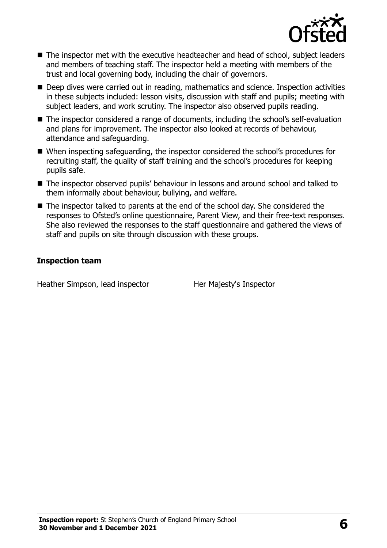

- The inspector met with the executive headteacher and head of school, subject leaders and members of teaching staff. The inspector held a meeting with members of the trust and local governing body, including the chair of governors.
- Deep dives were carried out in reading, mathematics and science. Inspection activities in these subjects included: lesson visits, discussion with staff and pupils; meeting with subject leaders, and work scrutiny. The inspector also observed pupils reading.
- The inspector considered a range of documents, including the school's self-evaluation and plans for improvement. The inspector also looked at records of behaviour, attendance and safeguarding.
- When inspecting safeguarding, the inspector considered the school's procedures for recruiting staff, the quality of staff training and the school's procedures for keeping pupils safe.
- The inspector observed pupils' behaviour in lessons and around school and talked to them informally about behaviour, bullying, and welfare.
- The inspector talked to parents at the end of the school day. She considered the responses to Ofsted's online questionnaire, Parent View, and their free-text responses. She also reviewed the responses to the staff questionnaire and gathered the views of staff and pupils on site through discussion with these groups.

#### **Inspection team**

Heather Simpson, lead inspector Her Majesty's Inspector